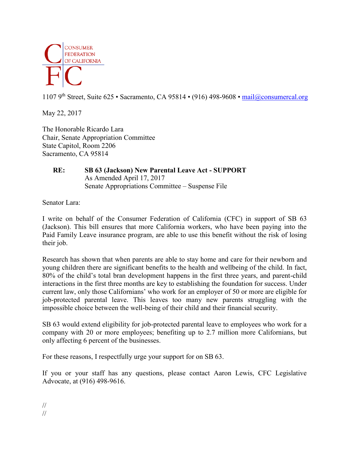

1107 9<sup>th</sup> Street, Suite 625 • Sacramento, CA 95814 • (916) 498-9608 • [mail@consumercal.org](mailto:mail@consumercal.org)

May 22, 2017

The Honorable Ricardo Lara Chair, Senate Appropriation Committee State Capitol, Room 2206 Sacramento, CA 95814

## **RE: SB 63 (Jackson) New Parental Leave Act - SUPPORT** As Amended April 17, 2017 Senate Appropriations Committee – Suspense File

Senator Lara:

I write on behalf of the Consumer Federation of California (CFC) in support of SB 63 (Jackson). This bill ensures that more California workers, who have been paying into the Paid Family Leave insurance program, are able to use this benefit without the risk of losing their job.

Research has shown that when parents are able to stay home and care for their newborn and young children there are significant benefits to the health and wellbeing of the child. In fact, 80% of the child's total bran development happens in the first three years, and parent-child interactions in the first three months are key to establishing the foundation for success. Under current law, only those Californians' who work for an employer of 50 or more are eligible for job-protected parental leave. This leaves too many new parents struggling with the impossible choice between the well-being of their child and their financial security.

SB 63 would extend eligibility for job-protected parental leave to employees who work for a company with 20 or more employees; benefiting up to 2.7 million more Californians, but only affecting 6 percent of the businesses.

For these reasons, I respectfully urge your support for on SB 63.

If you or your staff has any questions, please contact Aaron Lewis, CFC Legislative Advocate, at (916) 498-9616.